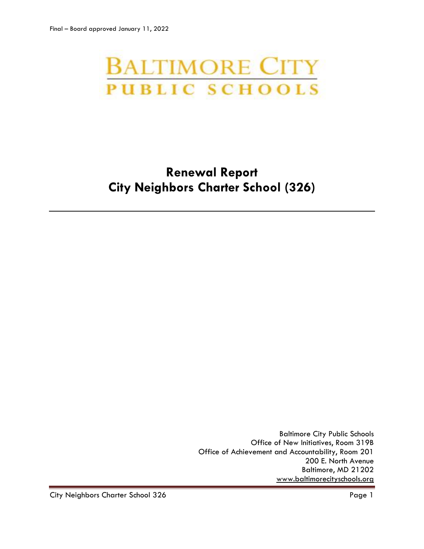# **BALTIMORE CITY PUBLIC SCHOOLS**

# **Renewal Report City Neighbors Charter School (326)**

Baltimore City Public Schools Office of New Initiatives, Room 319B Office of Achievement and Accountability, Room 201 200 E. North Avenue Baltimore, MD 21202 [www.baltimorecityschools.org](http://www.baltimorecityschools.org/)

City Neighbors Charter School 326 **Page 1** Page 1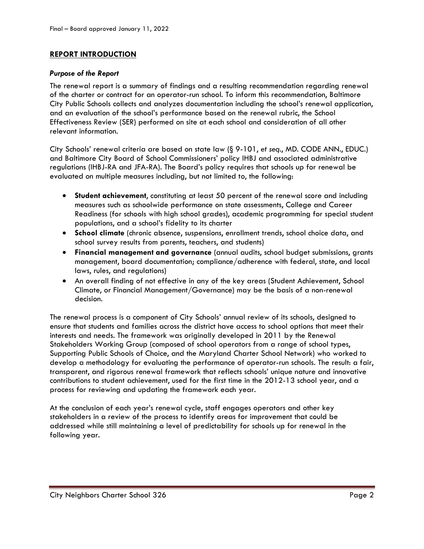# **REPORT INTRODUCTION**

### *Purpose of the Report*

The renewal report is a summary of findings and a resulting recommendation regarding renewal of the charter or contract for an operator-run school. To inform this recommendation, Baltimore City Public Schools collects and analyzes documentation including the school's renewal application, and an evaluation of the school's performance based on the renewal rubric, the School Effectiveness Review (SER) performed on site at each school and consideration of all other relevant information.

City Schools' renewal criteria are based on state law (§ 9-101, *et seq*., MD. CODE ANN., EDUC.) and Baltimore City Board of School Commissioners' policy IHBJ and associated administrative regulations (IHBJ-RA and JFA-RA). The Board's policy requires that schools up for renewal be evaluated on multiple measures including, but not limited to, the following:

- **Student achievement**, constituting at least 50 percent of the renewal score and including measures such as schoolwide performance on state assessments, College and Career Readiness (for schools with high school grades), academic programming for special student populations, and a school's fidelity to its charter
- **School climate** (chronic absence, suspensions, enrollment trends, school choice data, and school survey results from parents, teachers, and students)
- **Financial management and governance** (annual audits, school budget submissions, grants management, board documentation; compliance/adherence with federal, state, and local laws, rules, and regulations)
- An overall finding of not effective in any of the key areas (Student Achievement, School Climate, or Financial Management/Governance) may be the basis of a non-renewal decision.

The renewal process is a component of City Schools' annual review of its schools, designed to ensure that students and families across the district have access to school options that meet their interests and needs. The framework was originally developed in 2011 by the Renewal Stakeholders Working Group (composed of school operators from a range of school types, Supporting Public Schools of Choice, and the Maryland Charter School Network) who worked to develop a methodology for evaluating the performance of operator-run schools. The result: a fair, transparent, and rigorous renewal framework that reflects schools' unique nature and innovative contributions to student achievement, used for the first time in the 2012-13 school year, and a process for reviewing and updating the framework each year.

At the conclusion of each year's renewal cycle, staff engages operators and other key stakeholders in a review of the process to identify areas for improvement that could be addressed while still maintaining a level of predictability for schools up for renewal in the following year.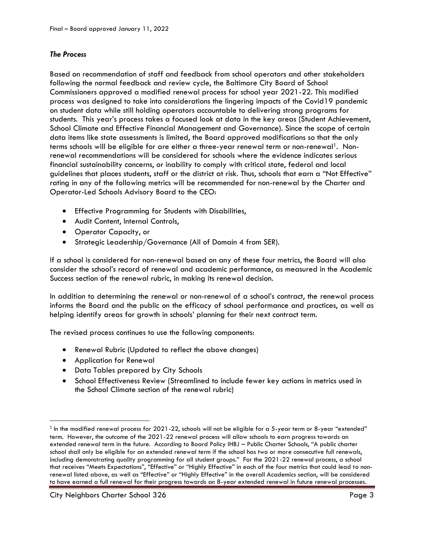# *The Process*

Based on recommendation of staff and feedback from school operators and other stakeholders following the normal feedback and review cycle, the Baltimore City Board of School Commissioners approved a modified renewal process for school year 2021-22. This modified process was designed to take into considerations the lingering impacts of the Covid19 pandemic on student data while still holding operators accountable to delivering strong programs for students. This year's process takes a focused look at data in the key areas (Student Achievement, School Climate and Effective Financial Management and Governance). Since the scope of certain data items like state assessments is limited, the Board approved modifications so that the only terms schools will be eligible for are either a three-year renewal term or non-renewal<sup>1</sup>. Nonrenewal recommendations will be considered for schools where the evidence indicates serious financial sustainability concerns, or inability to comply with critical state, federal and local guidelines that places students, staff or the district at risk. Thus, schools that earn a "Not Effective" rating in any of the following metrics will be recommended for non-renewal by the Charter and Operator-Led Schools Advisory Board to the CEO:

- Effective Programming for Students with Disabilities,
- Audit Content, Internal Controls,
- Operator Capacity, or
- Strategic Leadership/Governance (All of Domain 4 from SER).

If a school is considered for non-renewal based on any of these four metrics, the Board will also consider the school's record of renewal and academic performance, as measured in the Academic Success section of the renewal rubric, in making its renewal decision.

In addition to determining the renewal or non-renewal of a school's contract, the renewal process informs the Board and the public on the efficacy of school performance and practices, as well as helping identify areas for growth in schools' planning for their next contract term.

The revised process continues to use the following components:

- Renewal Rubric (Updated to reflect the above changes)
- Application for Renewal

l

- Data Tables prepared by City Schools
- School Effectiveness Review (Streamlined to include fewer key actions in metrics used in the School Climate section of the renewal rubric)

 $^{\rm 1}$  In the modified renewal process for 2021-22, schools will not be eligible for a 5-year term or 8-year "extended" term. However, the outcome of the 2021-22 renewal process will allow schools to earn progress towards an extended renewal term in the future. According to Board Policy IHBJ – Public Charter Schools, "A public charter school shall only be eligible for an extended renewal term if the school has two or more consecutive full renewals, including demonstrating quality programming for all student groups." For the 2021-22 renewal process, a school that receives "Meets Expectations", "Effective" or "Highly Effective" in each of the four metrics that could lead to nonrenewal listed above, as well as "Effective" or "Highly Effective" in the overall Academics section, will be considered to have earned a full renewal for their progress towards an 8-year extended renewal in future renewal processes.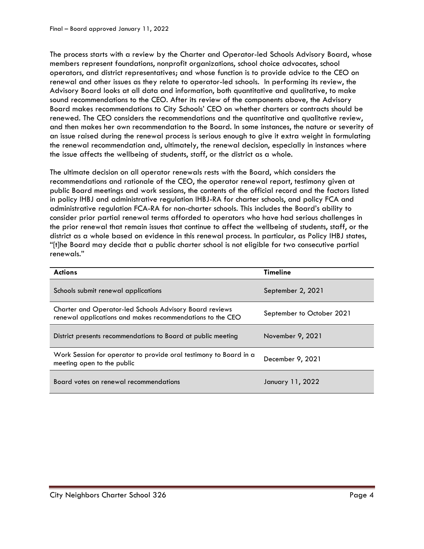The process starts with a review by the Charter and Operator-led Schools Advisory Board, whose members represent foundations, nonprofit organizations, school choice advocates, school operators, and district representatives; and whose function is to provide advice to the CEO on renewal and other issues as they relate to operator-led schools. In performing its review, the Advisory Board looks at all data and information, both quantitative and qualitative, to make sound recommendations to the CEO. After its review of the components above, the Advisory Board makes recommendations to City Schools' CEO on whether charters or contracts should be renewed. The CEO considers the recommendations and the quantitative and qualitative review, and then makes her own recommendation to the Board. In some instances, the nature or severity of an issue raised during the renewal process is serious enough to give it extra weight in formulating the renewal recommendation and, ultimately, the renewal decision, especially in instances where the issue affects the wellbeing of students, staff, or the district as a whole.

The ultimate decision on all operator renewals rests with the Board, which considers the recommendations and rationale of the CEO, the operator renewal report, testimony given at public Board meetings and work sessions, the contents of the official record and the factors listed in policy IHBJ and administrative regulation IHBJ-RA for charter schools, and policy FCA and administrative regulation FCA-RA for non-charter schools. This includes the Board's ability to consider prior partial renewal terms afforded to operators who have had serious challenges in the prior renewal that remain issues that continue to affect the wellbeing of students, staff, or the district as a whole based on evidence in this renewal process. In particular, as Policy IHBJ states, "[t]he Board may decide that a public charter school is not eligible for two consecutive partial renewals."

| <b>Actions</b>                                                                                                              | <b>Timeline</b>           |
|-----------------------------------------------------------------------------------------------------------------------------|---------------------------|
| Schools submit renewal applications                                                                                         | September 2, 2021         |
| <b>Charter and Operator-led Schools Advisory Board reviews</b><br>renewal applications and makes recommendations to the CEO | September to October 2021 |
| District presents recommendations to Board at public meeting                                                                | November 9, 2021          |
| Work Session for operator to provide oral testimony to Board in a<br>meeting open to the public                             | December 9, 2021          |
| Board votes on renewal recommendations                                                                                      | January 11, 2022          |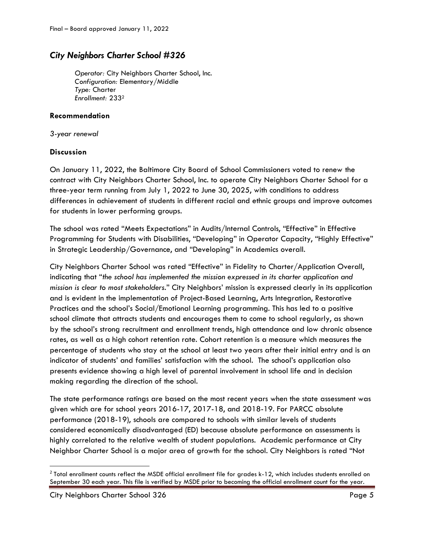# *City Neighbors Charter School #326*

*Operator:* City Neighbors Charter School, Inc. *Configuration:* Elementary/Middle *Type:* Charter *Enrollment:* 233<sup>2</sup>

# **Recommendation**

*3-year renewal*

# **Discussion**

On January 11, 2022, the Baltimore City Board of School Commissioners voted to renew the contract with City Neighbors Charter School, Inc. to operate City Neighbors Charter School for a three-year term running from July 1, 2022 to June 30, 2025, with conditions to address differences in achievement of students in different racial and ethnic groups and improve outcomes for students in lower performing groups.

The school was rated "Meets Expectations" in Audits/Internal Controls, "Effective" in Effective Programming for Students with Disabilities, "Developing" in Operator Capacity, "Highly Effective" in Strategic Leadership/Governance, and "Developing" in Academics overall.

City Neighbors Charter School was rated "Effective" in Fidelity to Charter/Application Overall, indicating that "*the school has implemented the mission expressed in its charter application and mission is clear to most stakeholders.*" City Neighbors' mission is expressed clearly in its application and is evident in the implementation of Project-Based Learning, Arts Integration, Restorative Practices and the school's Social/Emotional Learning programming. This has led to a positive school climate that attracts students and encourages them to come to school regularly, as shown by the school's strong recruitment and enrollment trends, high attendance and low chronic absence rates, as well as a high cohort retention rate. Cohort retention is a measure which measures the percentage of students who stay at the school at least two years after their initial entry and is an indicator of students' and families' satisfaction with the school. The school's application also presents evidence showing a high level of parental involvement in school life and in decision making regarding the direction of the school.

The state performance ratings are based on the most recent years when the state assessment was given which are for school years 2016-17, 2017-18, and 2018-19. For PARCC absolute performance (2018-19), schools are compared to schools with similar levels of students considered economically disadvantaged (ED) because absolute performance on assessments is highly correlated to the relative wealth of student populations. Academic performance at City Neighbor Charter School is a major area of growth for the school. City Neighbors is rated "Not

 $\overline{\phantom{a}}$ 

 $^2$  Total enrollment counts reflect the MSDE official enrollment file for grades k-12, which includes students enrolled on September 30 each year. This file is verified by MSDE prior to becoming the official enrollment count for the year.

City Neighbors Charter School 326 Page 5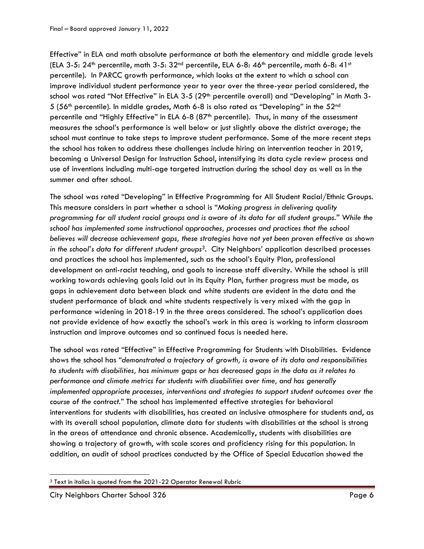Effective" in ELA and math absolute performance at both the elementary and middle grade levels (ELA 3-5:  $24<sup>th</sup>$  percentile, math 3-5:  $32<sup>nd</sup>$  percentile, ELA 6-8:  $46<sup>th</sup>$  percentile, math 6-8:  $41<sup>st</sup>$ percentile). In PARCC growth performance, which looks at the extent to which a school can improve individual student performance year to year over the three-year period considered, the school was rated "Not Effective" in ELA 3-5 (29<sup>th</sup> percentile overall) and "Developing" in Math 3-5 (56th percentile). In middle grades, Math 6-8 is also rated as "Developing" in the 52nd percentile and "Highly Effective" in ELA 6-8 (87<sup>th</sup> percentile). Thus, in many of the assessment measures the school's performance is well below or just slightly above the district average; the school must continue to take steps to improve student performance. Some of the more recent steps the school has taken to address these challenges include hiring an intervention teacher in 2019, becoming a Universal Design for Instruction School, intensifying its data cycle review process and use of inventions including multi-age targeted instruction during the school day as well as in the summer and after school.

The school was rated "Developing" in Effective Programming for All Student Racial/Ethnic Groups. This measure considers in part whether a school is "*Making progress in delivering quality programming for all student racial groups and is aware of its data for all student groups." While the school has implemented some instructional approaches, processes and practices that the school believes will decrease achievement gaps, these strategies have not yet been proven effective as shown in the school's data for different student groups3*. City Neighbors' application described processes and practices the school has implemented, such as the school's Equity Plan, professional development on anti-racist teaching, and goals to increase staff diversity. While the school is still working towards achieving goals laid out in its Equity Plan, further progress must be made, as gaps in achievement data between black and white students are evident in the data and the student performance of black and white students respectively is very mixed with the gap in performance widening in 2018-19 in the three areas considered. The school's application does not provide evidence of how exactly the school's work in this area is working to inform classroom instruction and improve outcomes and so continued focus is needed here.

The school was rated "Effective" in Effective Programming for Students with Disabilities. Evidence shows the school has "*demonstrated a trajectory of growth, is aware of its data and responsibilities to students with disabilities, has minimum gaps or has decreased gaps in the data as it relates to performance and climate metrics for students with disabilities over time, and has generally implemented appropriate processes, interventions and strategies to support student outcomes over the course of the contract.*" The school has implemented effective strategies for behavioral interventions for students with disabilities, has created an inclusive atmosphere for students and, as with its overall school population, climate data for students with disabilities at the school is strong in the areas of attendance and chronic absence. Academically, students with disabilities are showing a trajectory of growth, with scale scores and proficiency rising for this population. In addition, an audit of school practices conducted by the Office of Special Education showed the

 $\overline{\phantom{a}}$ <sup>3</sup> Text in italics is quoted from the 2021-22 Operator Renewal Rubric

City Neighbors Charter School 326 Page 6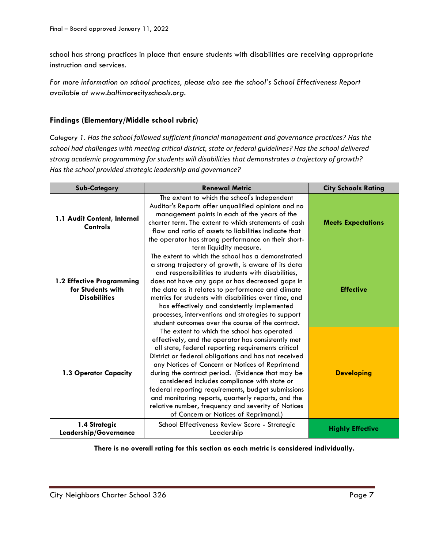school has strong practices in place that ensure students with disabilities are receiving appropriate instruction and services.

*For more information on school practices, please also see the school's School Effectiveness Report available at www.baltimorecityschools.org.*

# **Findings (Elementary/Middle school rubric)**

*Category 1. Has the school followed sufficient financial management and governance practices? Has the school had challenges with meeting critical district, state or federal guidelines? Has the school delivered strong academic programming for students will disabilities that demonstrates a trajectory of growth? Has the school provided strategic leadership and governance?*

| <b>Sub-Category</b>                                                   | <b>Renewal Metric</b>                                                                                                                                                                                                                                                                                                                                                                                                                                                                                                                                                            | <b>City Schools Rating</b> |
|-----------------------------------------------------------------------|----------------------------------------------------------------------------------------------------------------------------------------------------------------------------------------------------------------------------------------------------------------------------------------------------------------------------------------------------------------------------------------------------------------------------------------------------------------------------------------------------------------------------------------------------------------------------------|----------------------------|
| 1.1 Audit Content, Internal<br>Controls                               | The extent to which the school's Independent<br>Auditor's Reports offer unqualified opinions and no<br>management points in each of the years of the<br>charter term. The extent to which statements of cash<br>flow and ratio of assets to liabilities indicate that<br>the operator has strong performance on their short-<br>term liquidity measure.                                                                                                                                                                                                                          | <b>Meets Expectations</b>  |
| 1.2 Effective Programming<br>for Students with<br><b>Disabilities</b> | The extent to which the school has a demonstrated<br>a strong trajectory of growth, is aware of its data<br>and responsibilities to students with disabilities,<br>does not have any gaps or has decreased gaps in<br>the data as it relates to performance and climate<br>metrics for students with disabilities over time, and<br>has effectively and consistently implemented<br>processes, interventions and strategies to support<br>student outcomes over the course of the contract.                                                                                      | <b>Effective</b>           |
| 1.3 Operator Capacity                                                 | The extent to which the school has operated<br>effectively, and the operator has consistently met<br>all state, federal reporting requirements critical<br>District or federal obligations and has not received<br>any Notices of Concern or Notices of Reprimand<br>during the contract period. (Evidence that may be<br>considered includes compliance with state or<br>federal reporting requirements, budget submissions<br>and monitoring reports, quarterly reports, and the<br>relative number, frequency and severity of Notices<br>of Concern or Notices of Reprimand.) | <b>Developing</b>          |
| 1.4 Strategic<br>Leadership/Governance                                | School Effectiveness Review Score - Strategic<br>Leadership                                                                                                                                                                                                                                                                                                                                                                                                                                                                                                                      | <b>Highly Effective</b>    |

**There is no overall rating for this section as each metric is considered individually.**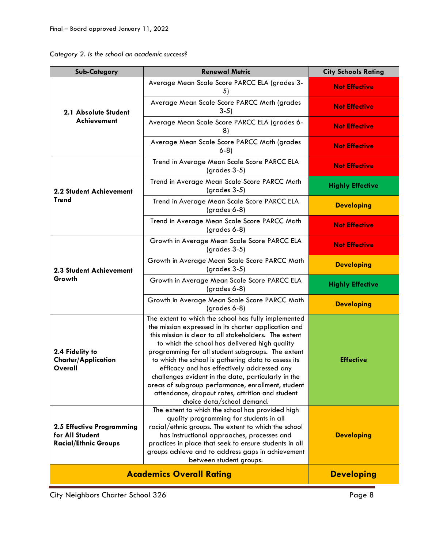| Category 2. Is the school an academic success? |  |  |  |  |  |  |
|------------------------------------------------|--|--|--|--|--|--|
|------------------------------------------------|--|--|--|--|--|--|

| <b>Sub-Category</b>                                                         | <b>Renewal Metric</b>                                                                                                                                                                                                                                                                                                                                                                                                                                                                                                                                                                                                                | <b>City Schools Rating</b> |
|-----------------------------------------------------------------------------|--------------------------------------------------------------------------------------------------------------------------------------------------------------------------------------------------------------------------------------------------------------------------------------------------------------------------------------------------------------------------------------------------------------------------------------------------------------------------------------------------------------------------------------------------------------------------------------------------------------------------------------|----------------------------|
| 2.1 Absolute Student<br>Achievement                                         | Average Mean Scale Score PARCC ELA (grades 3-<br>5)                                                                                                                                                                                                                                                                                                                                                                                                                                                                                                                                                                                  | <b>Not Effective</b>       |
|                                                                             | Average Mean Scale Score PARCC Math (grades<br>$3-5)$                                                                                                                                                                                                                                                                                                                                                                                                                                                                                                                                                                                | <b>Not Effective</b>       |
|                                                                             | Average Mean Scale Score PARCC ELA (grades 6-<br>8)                                                                                                                                                                                                                                                                                                                                                                                                                                                                                                                                                                                  | <b>Not Effective</b>       |
|                                                                             | Average Mean Scale Score PARCC Math (grades<br>$6-8$                                                                                                                                                                                                                                                                                                                                                                                                                                                                                                                                                                                 | <b>Not Effective</b>       |
|                                                                             | Trend in Average Mean Scale Score PARCC ELA<br>$(grades 3-5)$                                                                                                                                                                                                                                                                                                                                                                                                                                                                                                                                                                        | <b>Not Effective</b>       |
| 2.2 Student Achievement                                                     | Trend in Average Mean Scale Score PARCC Math<br>$(grades 3-5)$                                                                                                                                                                                                                                                                                                                                                                                                                                                                                                                                                                       | <b>Highly Effective</b>    |
| <b>Trend</b>                                                                | Trend in Average Mean Scale Score PARCC ELA<br>(grades 6-8)                                                                                                                                                                                                                                                                                                                                                                                                                                                                                                                                                                          | <b>Developing</b>          |
|                                                                             | Trend in Average Mean Scale Score PARCC Math<br>$(grades 6-8)$                                                                                                                                                                                                                                                                                                                                                                                                                                                                                                                                                                       | <b>Not Effective</b>       |
|                                                                             | Growth in Average Mean Scale Score PARCC ELA<br>$(grades 3-5)$                                                                                                                                                                                                                                                                                                                                                                                                                                                                                                                                                                       | <b>Not Effective</b>       |
| 2.3 Student Achievement                                                     | Growth in Average Mean Scale Score PARCC Math<br>$(grades 3-5)$                                                                                                                                                                                                                                                                                                                                                                                                                                                                                                                                                                      | <b>Developing</b>          |
| Growth                                                                      | Growth in Average Mean Scale Score PARCC ELA<br>$(grades 6-8)$                                                                                                                                                                                                                                                                                                                                                                                                                                                                                                                                                                       | <b>Highly Effective</b>    |
|                                                                             | Growth in Average Mean Scale Score PARCC Math<br>(grades 6-8)                                                                                                                                                                                                                                                                                                                                                                                                                                                                                                                                                                        | <b>Developing</b>          |
| 2.4 Fidelity to<br><b>Charter/Application</b><br>Overall                    | The extent to which the school has fully implemented<br>the mission expressed in its charter application and<br>this mission is clear to all stakeholders. The extent<br>to which the school has delivered high quality<br>programming for all student subgroups. The extent<br>to which the school is gathering data to assess its<br>efficacy and has effectively addressed any<br>challenges evident in the data, particularly in the<br>areas of subgroup performance, enrollment, student<br>attendance, dropout rates, attrition and student<br>choice data/school demand.<br>The extent to which the school has provided high | <b>Effective</b>           |
| 2.5 Effective Programming<br>for All Student<br><b>Racial/Ethnic Groups</b> | quality programming for students in all<br>racial/ethnic groups. The extent to which the school<br>has instructional approaches, processes and<br>practices in place that seek to ensure students in all<br>groups achieve and to address gaps in achievement<br>between student groups.                                                                                                                                                                                                                                                                                                                                             | <b>Developing</b>          |
|                                                                             | <b>Academics Overall Rating</b>                                                                                                                                                                                                                                                                                                                                                                                                                                                                                                                                                                                                      | <b>Developing</b>          |

City Neighbors Charter School 326 Page 8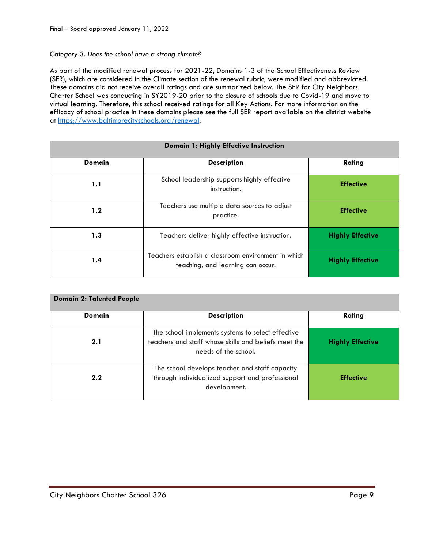#### *Category 3. Does the school have a strong climate?*

As part of the modified renewal process for 2021-22, Domains 1-3 of the School Effectiveness Review (SER), which are considered in the Climate section of the renewal rubric, were modified and abbreviated. These domains did not receive overall ratings and are summarized below. The SER for City Neighbors Charter School was conducting in SY2019-20 prior to the closure of schools due to Covid-19 and move to virtual learning. Therefore, this school received ratings for all Key Actions. For more information on the efficacy of school practice in these domains please see the full SER report available on the district website at [https://www.baltimorecityschools.org/renewal.](https://www.baltimorecityschools.org/renewal)

| Domain 1: Highly Effective Instruction |                                                                                          |                         |  |
|----------------------------------------|------------------------------------------------------------------------------------------|-------------------------|--|
| <b>Domain</b>                          | Rating                                                                                   |                         |  |
| 1.1                                    | School leadership supports highly effective<br>instruction.                              | <b>Effective</b>        |  |
| 1.2                                    | Teachers use multiple data sources to adjust<br>practice.                                | <b>Effective</b>        |  |
| 1.3                                    | Teachers deliver highly effective instruction.                                           | <b>Highly Effective</b> |  |
| 1.4                                    | Teachers establish a classroom environment in which<br>teaching, and learning can occur. | <b>Highly Effective</b> |  |

| <b>Domain 2: Talented People</b> |                                                                                                                                   |                         |  |
|----------------------------------|-----------------------------------------------------------------------------------------------------------------------------------|-------------------------|--|
| Domain                           | <b>Description</b>                                                                                                                | Rating                  |  |
| 2.1                              | The school implements systems to select effective<br>teachers and staff whose skills and beliefs meet the<br>needs of the school. | <b>Highly Effective</b> |  |
| 2.2                              | The school develops teacher and staff capacity<br>through individualized support and professional<br>development.                 | <b>Effective</b>        |  |